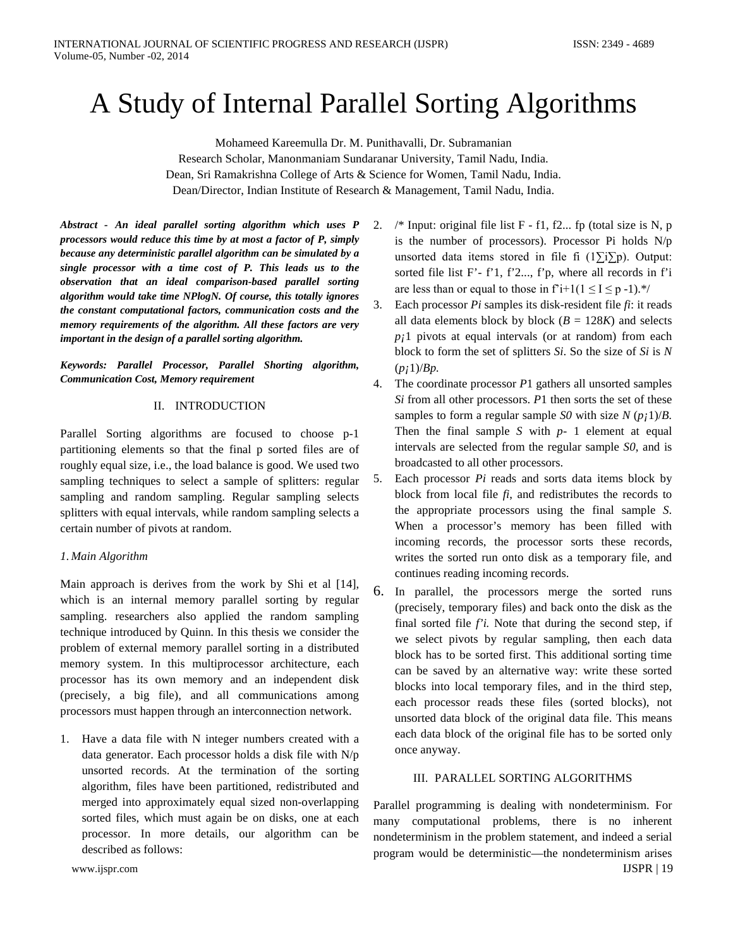# A Study of Internal Parallel Sorting Algorithms

Mohameed Kareemulla Dr. M. Punithavalli, Dr. Subramanian Research Scholar, Manonmaniam Sundaranar University, Tamil Nadu, India. Dean, Sri Ramakrishna College of Arts & Science for Women, Tamil Nadu, India. Dean/Director, Indian Institute of Research & Management, Tamil Nadu, India.

*Abstract - An ideal parallel sorting algorithm which uses P processors would reduce this time by at most a factor of P, simply because any deterministic parallel algorithm can be simulated by a single processor with a time cost of P. This leads us to the observation that an ideal comparison-based parallel sorting algorithm would take time NPlogN. Of course, this totally ignores the constant computational factors, communication costs and the memory requirements of the algorithm. All these factors are very important in the design of a parallel sorting algorithm.* 

*Keywords: Parallel Processor, Parallel Shorting algorithm, Communication Cost, Memory requirement*

## II. INTRODUCTION

Parallel Sorting algorithms are focused to choose p-1 partitioning elements so that the final p sorted files are of roughly equal size, i.e., the load balance is good. We used two sampling techniques to select a sample of splitters: regular sampling and random sampling. Regular sampling selects splitters with equal intervals, while random sampling selects a certain number of pivots at random.

## *1. Main Algorithm*

Main approach is derives from the work by Shi et al [14], which is an internal memory parallel sorting by regular sampling. researchers also applied the random sampling technique introduced by Quinn. In this thesis we consider the problem of external memory parallel sorting in a distributed memory system. In this multiprocessor architecture, each processor has its own memory and an independent disk (precisely, a big file), and all communications among processors must happen through an interconnection network.

1. Have a data file with N integer numbers created with a data generator. Each processor holds a disk file with N/p unsorted records. At the termination of the sorting algorithm, files have been partitioned, redistributed and merged into approximately equal sized non-overlapping sorted files, which must again be on disks, one at each processor. In more details, our algorithm can be described as follows:

2.  $\frac{\pi}{2}$  /\* Input: original file list F - f1, f2... fp (total size is N, p is the number of processors). Processor Pi holds N/p unsorted data items stored in file fi (1∑i∑p). Output: sorted file list F'- f'1, f'2..., f'p, where all records in f'i are less than or equal to those in  $f'+1(1 \le I \le p-1)$ .<sup>\*</sup>/

- 3. Each processor *Pi* samples its disk-resident file *fi*: it reads all data elements block by block  $(B = 128K)$  and selects *p¡*1 pivots at equal intervals (or at random) from each block to form the set of splitters *Si*. So the size of *Si* is *N* (*p¡*1)/*Bp.*
- 4. The coordinate processor *P*1 gathers all unsorted samples *Si* from all other processors. *P*1 then sorts the set of these samples to form a regular sample *S0* with size *N* (*p¡*1)/*B.* Then the final sample *S* with *p-* 1 element at equal intervals are selected from the regular sample *S0*, and is broadcasted to all other processors.
- 5. Each processor *Pi* reads and sorts data items block by block from local file *fi*, and redistributes the records to the appropriate processors using the final sample *S*. When a processor's memory has been filled with incoming records, the processor sorts these records, writes the sorted run onto disk as a temporary file, and continues reading incoming records.
- 6. In parallel, the processors merge the sorted runs (precisely, temporary files) and back onto the disk as the final sorted file *f'i.* Note that during the second step, if we select pivots by regular sampling, then each data block has to be sorted first. This additional sorting time can be saved by an alternative way: write these sorted blocks into local temporary files, and in the third step, each processor reads these files (sorted blocks), not unsorted data block of the original data file. This means each data block of the original file has to be sorted only once anyway.

## III. PARALLEL SORTING ALGORITHMS

Parallel programming is dealing with nondeterminism. For many computational problems, there is no inherent nondeterminism in the problem statement, and indeed a serial program would be deterministic—the nondeterminism arises www.ijspr.com IJSPR | 19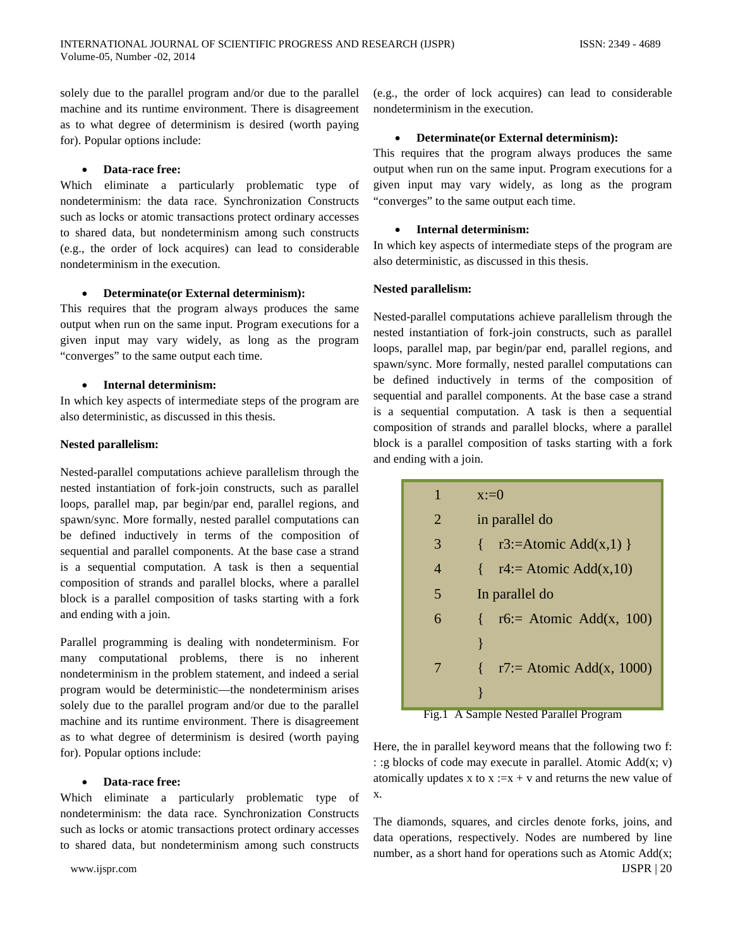solely due to the parallel program and/or due to the parallel machine and its runtime environment. There is disagreement as to what degree of determinism is desired (worth paying for). Popular options include:

#### • **Data-race free:**

Which eliminate a particularly problematic type of nondeterminism: the data race. Synchronization Constructs such as locks or atomic transactions protect ordinary accesses to shared data, but nondeterminism among such constructs (e.g., the order of lock acquires) can lead to considerable nondeterminism in the execution.

## • **Determinate(or External determinism):**

This requires that the program always produces the same output when run on the same input. Program executions for a given input may vary widely, as long as the program "converges" to the same output each time.

## • **Internal determinism:**

In which key aspects of intermediate steps of the program are also deterministic, as discussed in this thesis.

## **Nested parallelism:**

Nested-parallel computations achieve parallelism through the nested instantiation of fork-join constructs, such as parallel loops, parallel map, par begin/par end, parallel regions, and spawn/sync. More formally, nested parallel computations can be defined inductively in terms of the composition of sequential and parallel components. At the base case a strand is a sequential computation. A task is then a sequential composition of strands and parallel blocks, where a parallel block is a parallel composition of tasks starting with a fork and ending with a join.

Parallel programming is dealing with nondeterminism. For many computational problems, there is no inherent nondeterminism in the problem statement, and indeed a serial program would be deterministic—the nondeterminism arises solely due to the parallel program and/or due to the parallel machine and its runtime environment. There is disagreement as to what degree of determinism is desired (worth paying for). Popular options include:

## • **Data-race free:**

Which eliminate a particularly problematic type of nondeterminism: the data race. Synchronization Constructs such as locks or atomic transactions protect ordinary accesses to shared data, but nondeterminism among such constructs

(e.g., the order of lock acquires) can lead to considerable nondeterminism in the execution.

## • **Determinate(or External determinism):**

This requires that the program always produces the same output when run on the same input. Program executions for a given input may vary widely, as long as the program "converges" to the same output each time.

#### • **Internal determinism:**

In which key aspects of intermediate steps of the program are also deterministic, as discussed in this thesis.

## **Nested parallelism:**

Nested-parallel computations achieve parallelism through the nested instantiation of fork-join constructs, such as parallel loops, parallel map, par begin/par end, parallel regions, and spawn/sync. More formally, nested parallel computations can be defined inductively in terms of the composition of sequential and parallel components. At the base case a strand is a sequential computation. A task is then a sequential composition of strands and parallel blocks, where a parallel block is a parallel composition of tasks starting with a fork and ending with a join.

| 1 | $x:=0$                                       |
|---|----------------------------------------------|
| 2 | in parallel do                               |
| 3 | $\{$ r3:=Atomic Add(x,1) $\}$                |
| 4 | $\{ \text{r4:} = \text{Atomic Add}(x,10) \}$ |
| 5 | In parallel do                               |
| 6 | r6:= Atomic Add(x, 100)<br>₹                 |
|   |                                              |
| 7 | r7:= Atomic Add(x, 1000)                     |
|   |                                              |

Fig.1 A Sample Nested Parallel Program

Here, the in parallel keyword means that the following two f: : :g blocks of code may execute in parallel. Atomic Add(x; v) atomically updates x to  $x := x + v$  and returns the new value of x.

The diamonds, squares, and circles denote forks, joins, and data operations, respectively. Nodes are numbered by line number, as a short hand for operations such as Atomic Add(x; www.ijspr.com IJSPR | 20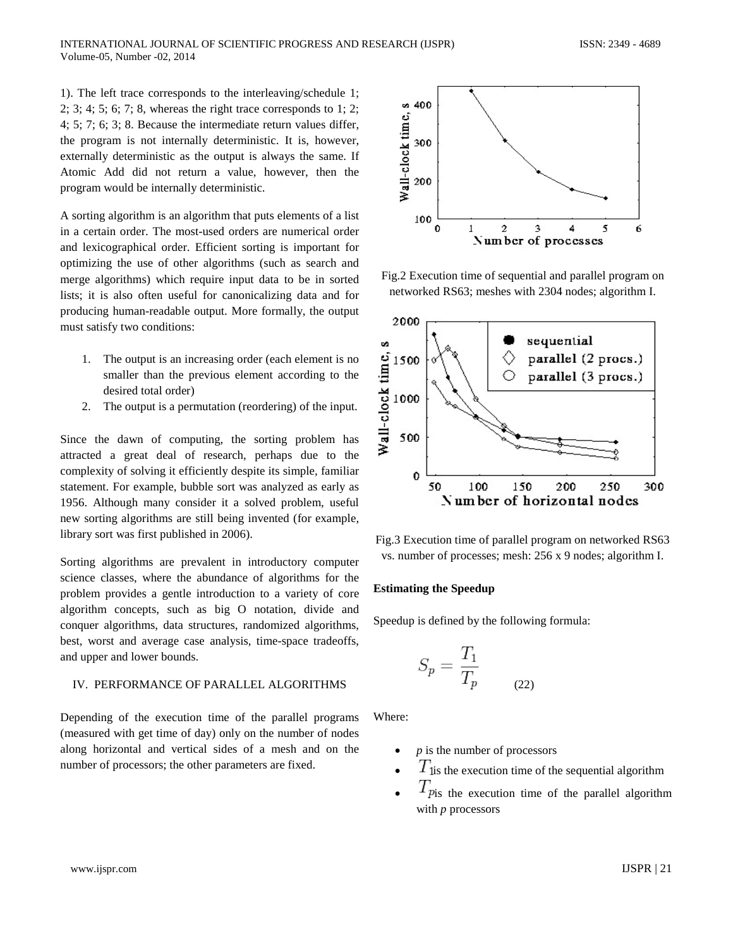1). The left trace corresponds to the interleaving/schedule 1; 2; 3; 4; 5; 6; 7; 8, whereas the right trace corresponds to 1; 2; 4; 5; 7; 6; 3; 8. Because the intermediate return values differ, the program is not internally deterministic. It is, however, externally deterministic as the output is always the same. If Atomic Add did not return a value, however, then the program would be internally deterministic.

A sorting algorithm is an algorithm that puts elements of a list in a certain order. The most-used orders are numerical order and lexicographical order. Efficient sorting is important for optimizing the use of other algorithms (such as search and merge algorithms) which require input data to be in sorted lists; it is also often useful for canonicalizing data and for producing human-readable output. More formally, the output must satisfy two conditions:

- 1. The output is an increasing order (each element is no smaller than the previous element according to the desired total order)
- 2. The output is a permutation (reordering) of the input.

Since the dawn of computing, the sorting problem has attracted a great deal of research, perhaps due to the complexity of solving it efficiently despite its simple, familiar statement. For example, bubble sort was analyzed as early as 1956. Although many consider it a solved problem, useful new sorting algorithms are still being invented (for example, library sort was first published in 2006).

Sorting algorithms are prevalent in introductory computer science classes, where the abundance of algorithms for the problem provides a gentle introduction to a variety of core algorithm concepts, such as big O notation, divide and conquer algorithms, data structures, randomized algorithms, best, worst and average case analysis, time-space tradeoffs, and upper and lower bounds.

## IV. PERFORMANCE OF PARALLEL ALGORITHMS

Depending of the execution time of the parallel programs (measured with get time of day) only on the number of nodes along horizontal and vertical sides of a mesh and on the number of processors; the other parameters are fixed.



Fig.2 Execution time of sequential and parallel program on networked RS63; meshes with 2304 nodes; algorithm I.



Fig.3 Execution time of parallel program on networked RS63 vs. number of processes; mesh: 256 x 9 nodes; algorithm I.

## **Estimating the Speedup**

Speedup is defined by the following formula:

$$
S_p = \frac{T_1}{T_p} \tag{22}
$$

Where:

- *is the number of processors*
- $T_{\text{lis}}$  the execution time of the sequential algorithm
- $T_{\text{pis}}$  the execution time of the parallel algorithm with *p* processors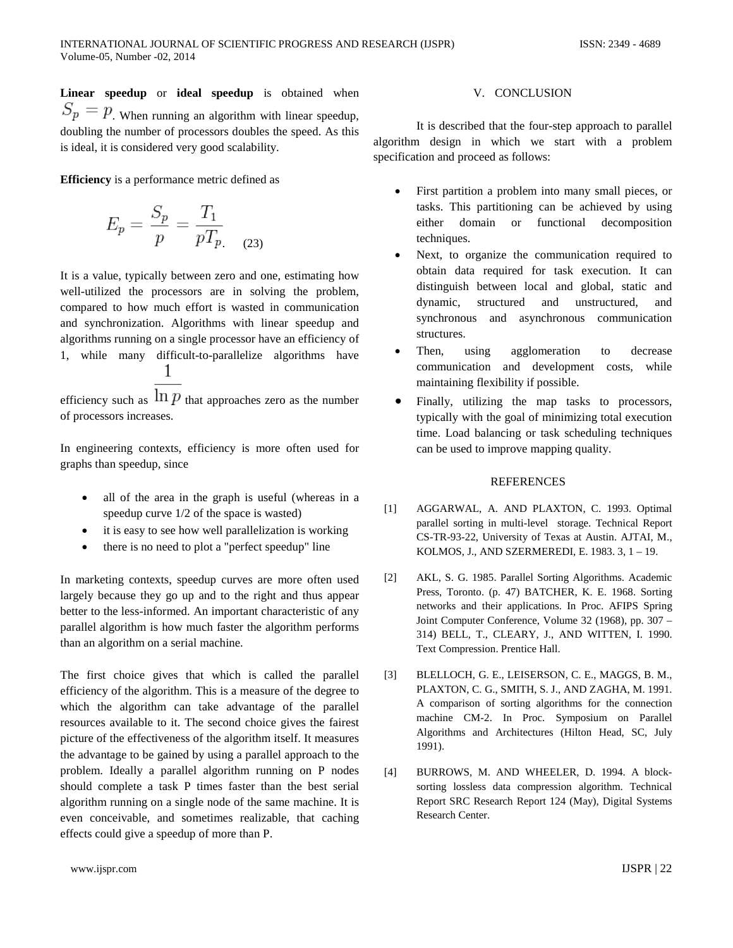**Linear speedup** or **ideal speedup** is obtained when  $S_p = p$ . When running an algorithm with linear speedup, doubling the number of processors doubles the speed. As this is ideal, it is considered very good scalability.

**Efficiency** is a performance metric defined as

$$
E_p = \frac{S_p}{p} = \frac{T_1}{pT_{p.}} \tag{23}
$$

It is a value, typically between zero and one, estimating how well-utilized the processors are in solving the problem, compared to how much effort is wasted in communication and synchronization. Algorithms with linear speedup and algorithms running on a single processor have an efficiency of 1, while many difficult-to-parallelize algorithms have 1

efficiency such as  $\ln p$  that approaches zero as the number of processors increases.

In engineering contexts, efficiency is more often used for graphs than speedup, since

- all of the area in the graph is useful (whereas in a speedup curve 1/2 of the space is wasted)
- it is easy to see how well parallelization is working
- there is no need to plot a "perfect speedup" line

In marketing contexts, speedup curves are more often used largely because they go up and to the right and thus appear better to the less-informed. An important characteristic of any parallel algorithm is how much faster the algorithm performs than an algorithm on a serial machine.

The first choice gives that which is called the parallel efficiency of the algorithm. This is a measure of the degree to which the algorithm can take advantage of the parallel resources available to it. The second choice gives the fairest picture of the effectiveness of the algorithm itself. It measures the advantage to be gained by using a parallel approach to the problem. Ideally a parallel algorithm running on P nodes should complete a task P times faster than the best serial algorithm running on a single node of the same machine. It is even conceivable, and sometimes realizable, that caching effects could give a speedup of more than P.

It is described that the four-step approach to parallel algorithm design in which we start with a problem specification and proceed as follows:

- First partition a problem into many small pieces, or tasks. This partitioning can be achieved by using either domain or functional decomposition techniques.
- Next, to organize the communication required to obtain data required for task execution. It can distinguish between local and global, static and dynamic, structured and unstructured, and synchronous and asynchronous communication structures.
- Then, using agglomeration to decrease communication and development costs, while maintaining flexibility if possible.
- Finally, utilizing the map tasks to processors, typically with the goal of minimizing total execution time. Load balancing or task scheduling techniques can be used to improve mapping quality.

## **REFERENCES**

- [1] AGGARWAL, A. AND PLAXTON, C. 1993. Optimal parallel sorting in multi-level storage. Technical Report CS-TR-93-22, University of Texas at Austin. AJTAI, M., KOLMOS, J., AND SZERMEREDI, E. 1983. 3, 1 – 19.
- [2] AKL, S. G. 1985. Parallel Sorting Algorithms. Academic Press, Toronto. (p. 47) BATCHER, K. E. 1968. Sorting networks and their applications. In Proc. AFIPS Spring Joint Computer Conference, Volume 32 (1968), pp. 307 – 314) BELL, T., CLEARY, J., AND WITTEN, I. 1990. Text Compression. Prentice Hall.
- [3] BLELLOCH, G. E., LEISERSON, C. E., MAGGS, B. M., PLAXTON, C. G., SMITH, S. J., AND ZAGHA, M. 1991. A comparison of sorting algorithms for the connection machine CM-2. In Proc. Symposium on Parallel Algorithms and Architectures (Hilton Head, SC, July 1991).
- [4] BURROWS, M. AND WHEELER, D. 1994. A blocksorting lossless data compression algorithm. Technical Report SRC Research Report 124 (May), Digital Systems Research Center.